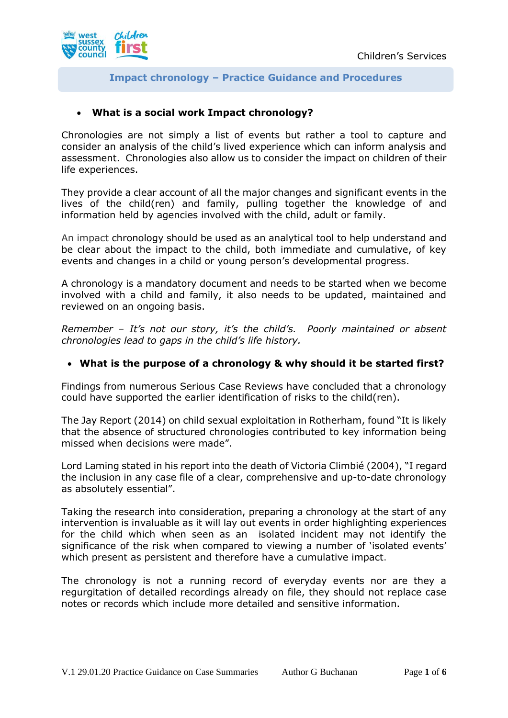

## **Impact chronology – Practice Guidance and Procedures**

# • **What is a social work Impact chronology?**

Chronologies are not simply a list of events but rather a tool to capture and consider an analysis of the child's lived experience which can inform analysis and assessment. Chronologies also allow us to consider the impact on children of their life experiences.

They provide a clear account of all the major changes and significant events in the lives of the child(ren) and family, pulling together the knowledge of and information held by agencies involved with the child, adult or family.

An impact chronology should be used as an analytical tool to help understand and be clear about the impact to the child, both immediate and cumulative, of key events and changes in a child or young person's developmental progress.

A chronology is a mandatory document and needs to be started when we become involved with a child and family, it also needs to be updated, maintained and reviewed on an ongoing basis.

*Remember – It's not our story, it's the child's. Poorly maintained or absent chronologies lead to gaps in the child's life history.*

## • **What is the purpose of a chronology & why should it be started first?**

Findings from numerous Serious Case Reviews have concluded that a chronology could have supported the earlier identification of risks to the child(ren).

The Jay Report (2014) on child sexual exploitation in Rotherham, found "It is likely that the absence of structured chronologies contributed to key information being missed when decisions were made".

Lord Laming stated in his report into the death of Victoria Climbié (2004), "I regard the inclusion in any case file of a clear, comprehensive and up-to-date chronology as absolutely essential".

Taking the research into consideration, preparing a chronology at the start of any intervention is invaluable as it will lay out events in order highlighting experiences for the child which when seen as an isolated incident may not identify the significance of the risk when compared to viewing a number of 'isolated events' which present as persistent and therefore have a cumulative impact.

The chronology is not a running record of everyday events nor are they a regurgitation of detailed recordings already on file, they should not replace case notes or records which include more detailed and sensitive information.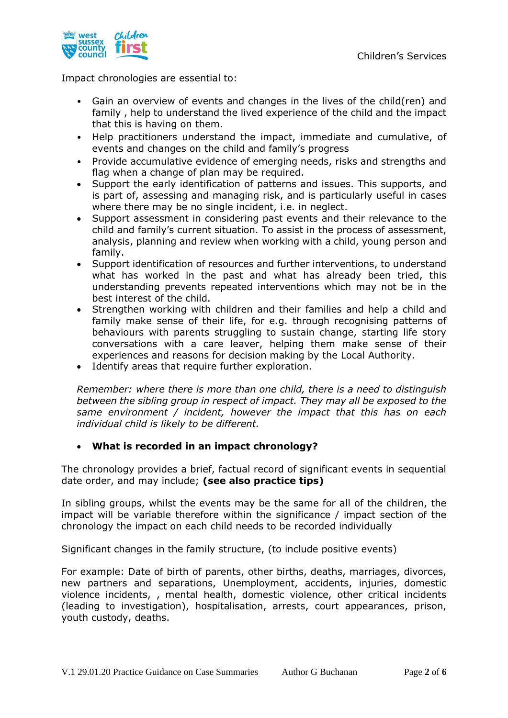

Impact chronologies are essential to:

- Gain an overview of events and changes in the lives of the child(ren) and family , help to understand the lived experience of the child and the impact that this is having on them.
- Help practitioners understand the impact, immediate and cumulative, of events and changes on the child and family's progress
- Provide accumulative evidence of emerging needs, risks and strengths and flag when a change of plan may be required.
- Support the early identification of patterns and issues. This supports, and is part of, assessing and managing risk, and is particularly useful in cases where there may be no single incident, i.e. in neglect.
- Support assessment in considering past events and their relevance to the child and family's current situation. To assist in the process of assessment, analysis, planning and review when working with a child, young person and family.
- Support identification of resources and further interventions, to understand what has worked in the past and what has already been tried, this understanding prevents repeated interventions which may not be in the best interest of the child.
- Strengthen working with children and their families and help a child and family make sense of their life, for e.g. through recognising patterns of behaviours with parents struggling to sustain change, starting life story conversations with a care leaver, helping them make sense of their experiences and reasons for decision making by the Local Authority.
- Identify areas that require further exploration.

*Remember: where there is more than one child, there is a need to distinguish between the sibling group in respect of impact. They may all be exposed to the same environment / incident, however the impact that this has on each individual child is likely to be different.*

## • **What is recorded in an impact chronology?**

The chronology provides a brief, factual record of significant events in sequential date order, and may include; **(see also practice tips)**

In sibling groups, whilst the events may be the same for all of the children, the impact will be variable therefore within the significance / impact section of the chronology the impact on each child needs to be recorded individually

Significant changes in the family structure, (to include positive events)

For example: Date of birth of parents, other births, deaths, marriages, divorces, new partners and separations, Unemployment, accidents, injuries, domestic violence incidents, , mental health, domestic violence, other critical incidents (leading to investigation), hospitalisation, arrests, court appearances, prison, youth custody, deaths.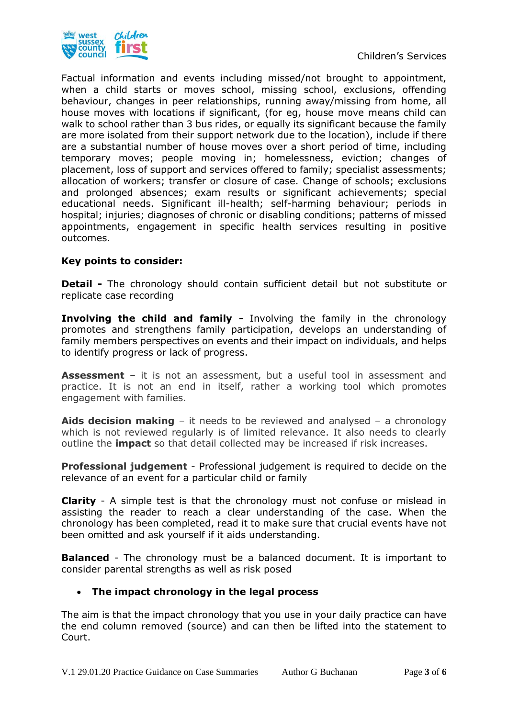

Factual information and events including missed/not brought to appointment, when a child starts or moves school, missing school, exclusions, offending behaviour, changes in peer relationships, running away/missing from home, all house moves with locations if significant, (for eg, house move means child can walk to school rather than 3 bus rides, or equally its significant because the family are more isolated from their support network due to the location), include if there are a substantial number of house moves over a short period of time, including temporary moves; people moving in; homelessness, eviction; changes of placement, loss of support and services offered to family; specialist assessments; allocation of workers; transfer or closure of case. Change of schools; exclusions and prolonged absences; exam results or significant achievements; special educational needs. Significant ill-health; self-harming behaviour; periods in hospital; injuries; diagnoses of chronic or disabling conditions; patterns of missed appointments, engagement in specific health services resulting in positive outcomes.

#### **Key points to consider:**

**Detail -** The chronology should contain sufficient detail but not substitute or replicate case recording

**Involving the child and family -** Involving the family in the chronology promotes and strengthens family participation, develops an understanding of family members perspectives on events and their impact on individuals, and helps to identify progress or lack of progress.

**Assessment** – it is not an assessment, but a useful tool in assessment and practice. It is not an end in itself, rather a working tool which promotes engagement with families.

**Aids decision making** – it needs to be reviewed and analysed – a chronology which is not reviewed regularly is of limited relevance. It also needs to clearly outline the **impact** so that detail collected may be increased if risk increases.

**Professional judgement** - Professional judgement is required to decide on the relevance of an event for a particular child or family

**Clarity** - A simple test is that the chronology must not confuse or mislead in assisting the reader to reach a clear understanding of the case. When the chronology has been completed, read it to make sure that crucial events have not been omitted and ask yourself if it aids understanding.

**Balanced** - The chronology must be a balanced document. It is important to consider parental strengths as well as risk posed

## • **The impact chronology in the legal process**

The aim is that the impact chronology that you use in your daily practice can have the end column removed (source) and can then be lifted into the statement to Court.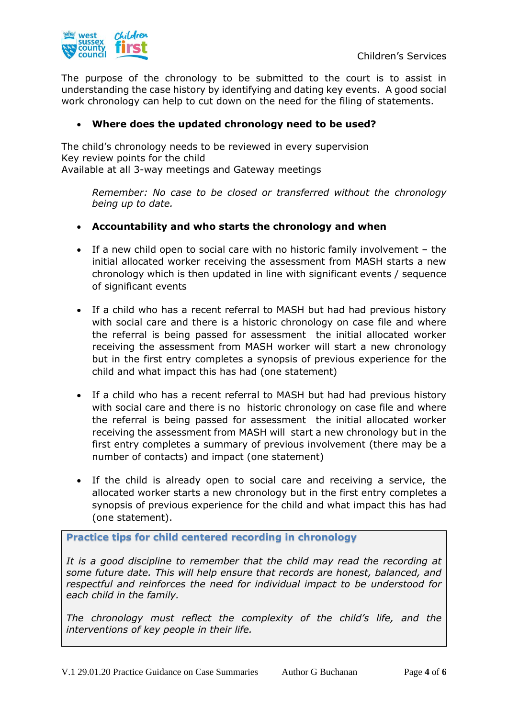

The purpose of the chronology to be submitted to the court is to assist in understanding the case history by identifying and dating key events. A good social work chronology can help to cut down on the need for the filing of statements.

### • **Where does the updated chronology need to be used?**

The child's chronology needs to be reviewed in every supervision Key review points for the child Available at all 3-way meetings and Gateway meetings

*Remember: No case to be closed or transferred without the chronology being up to date.*

#### • **Accountability and who starts the chronology and when**

- If a new child open to social care with no historic family involvement the initial allocated worker receiving the assessment from MASH starts a new chronology which is then updated in line with significant events / sequence of significant events
- If a child who has a recent referral to MASH but had had previous history with social care and there is a historic chronology on case file and where the referral is being passed for assessment the initial allocated worker receiving the assessment from MASH worker will start a new chronology but in the first entry completes a synopsis of previous experience for the child and what impact this has had (one statement)
- If a child who has a recent referral to MASH but had had previous history with social care and there is no historic chronology on case file and where the referral is being passed for assessment the initial allocated worker receiving the assessment from MASH will start a new chronology but in the first entry completes a summary of previous involvement (there may be a number of contacts) and impact (one statement)
- If the child is already open to social care and receiving a service, the allocated worker starts a new chronology but in the first entry completes a synopsis of previous experience for the child and what impact this has had (one statement).

**Practice tips for child centered recording in chronology**

*It is a good discipline to remember that the child may read the recording at some future date. This will help ensure that records are honest, balanced, and respectful and reinforces the need for individual impact to be understood for each child in the family.* 

*The chronology must reflect the complexity of the child's life, and the interventions of key people in their life.*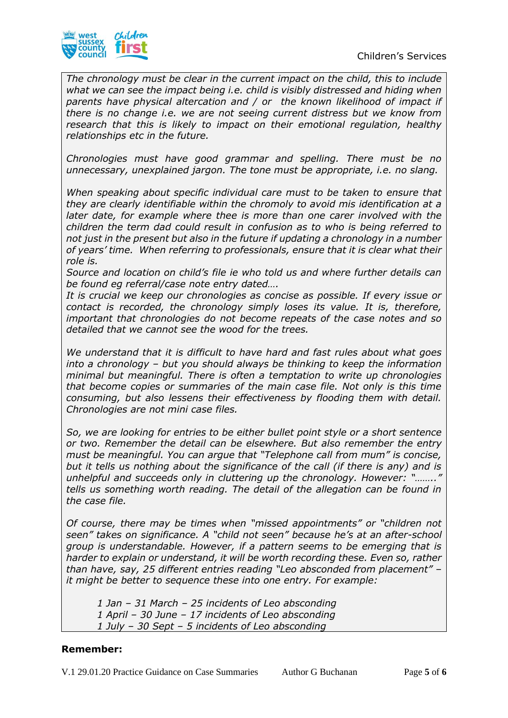

*The chronology must be clear in the current impact on the child, this to include what we can see the impact being i.e. child is visibly distressed and hiding when parents have physical altercation and / or the known likelihood of impact if there is no change i.e. we are not seeing current distress but we know from research that this is likely to impact on their emotional regulation, healthy relationships etc in the future.*

*Chronologies must have good grammar and spelling. There must be no unnecessary, unexplained jargon. The tone must be appropriate, i.e. no slang.*

*When speaking about specific individual care must to be taken to ensure that they are clearly identifiable within the chromoly to avoid mis identification at a later date, for example where thee is more than one carer involved with the children the term dad could result in confusion as to who is being referred to not just in the present but also in the future if updating a chronology in a number of years' time. When referring to professionals, ensure that it is clear what their role is.*

*Source and location on child's file ie who told us and where further details can be found eg referral/case note entry dated….*

*It is crucial we keep our chronologies as concise as possible. If every issue or contact is recorded, the chronology simply loses its value. It is, therefore, important that chronologies do not become repeats of the case notes and so detailed that we cannot see the wood for the trees.*

*We understand that it is difficult to have hard and fast rules about what goes into a chronology – but you should always be thinking to keep the information minimal but meaningful. There is often a temptation to write up chronologies that become copies or summaries of the main case file. Not only is this time consuming, but also lessens their effectiveness by flooding them with detail. Chronologies are not mini case files.*

*So, we are looking for entries to be either bullet point style or a short sentence or two. Remember the detail can be elsewhere. But also remember the entry must be meaningful. You can argue that "Telephone call from mum" is concise, but it tells us nothing about the significance of the call (if there is any) and is unhelpful and succeeds only in cluttering up the chronology. However: "…….." tells us something worth reading. The detail of the allegation can be found in the case file.*

*Of course, there may be times when "missed appointments" or "children not seen" takes on significance. A "child not seen" because he's at an after-school group is understandable. However, if a pattern seems to be emerging that is harder to explain or understand, it will be worth recording these. Even so, rather than have, say, 25 different entries reading "Leo absconded from placement" – it might be better to sequence these into one entry. For example:* 

*1 Jan – 31 March – 25 incidents of Leo absconding*

*1 April – 30 June – 17 incidents of Leo absconding* 

*1 July – 30 Sept – 5 incidents of Leo absconding*

## **Remember:**